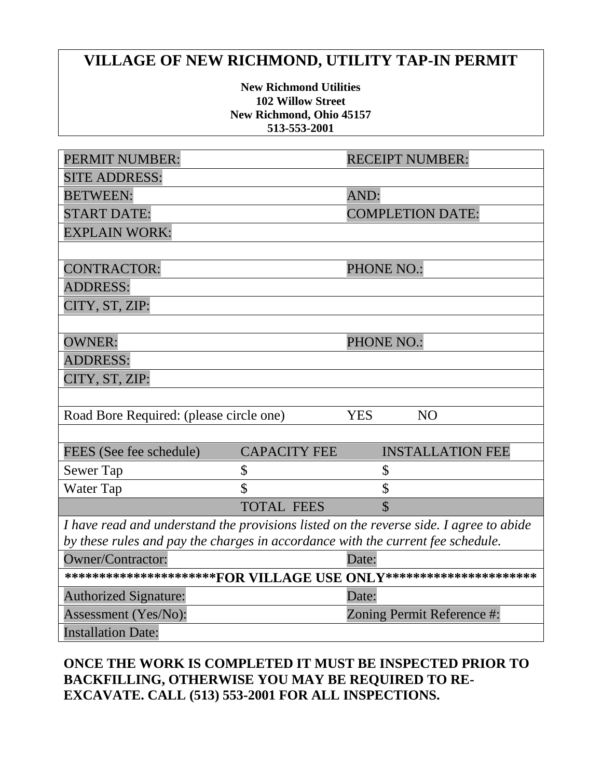## **VILLAGE OF NEW RICHMOND, UTILITY TAP-IN PERMIT**

**New Richmond Utilities 102 Willow Street New Richmond, Ohio 45157 513-553-2001**

| PERMIT NUMBER:                                                                         |                     | <b>RECEIPT NUMBER:</b>       |
|----------------------------------------------------------------------------------------|---------------------|------------------------------|
| <b>SITE ADDRESS:</b>                                                                   |                     |                              |
| <b>BETWEEN:</b>                                                                        |                     | AND:                         |
| <b>START DATE:</b>                                                                     |                     | <b>COMPLETION DATE:</b>      |
| <b>EXPLAIN WORK:</b>                                                                   |                     |                              |
|                                                                                        |                     |                              |
| <b>CONTRACTOR:</b>                                                                     |                     | <b>PHONE NO.:</b>            |
| <b>ADDRESS:</b>                                                                        |                     |                              |
| CITY, ST, ZIP:                                                                         |                     |                              |
|                                                                                        |                     |                              |
| <b>OWNER:</b>                                                                          |                     | <b>PHONE NO.:</b>            |
| <b>ADDRESS:</b>                                                                        |                     |                              |
| CITY, ST, ZIP:                                                                         |                     |                              |
|                                                                                        |                     |                              |
| Road Bore Required: (please circle one)                                                |                     | <b>YES</b><br>N <sub>O</sub> |
|                                                                                        |                     |                              |
| FEES (See fee schedule)                                                                | <b>CAPACITY FEE</b> | <b>INSTALLATION FEE</b>      |
| <b>Sewer Tap</b>                                                                       | \$                  | \$                           |
| Water Tap                                                                              | $\mathcal{S}$       | \$                           |
|                                                                                        | <b>TOTAL FEES</b>   | $\overline{\mathbb{S}}$      |
| I have read and understand the provisions listed on the reverse side. I agree to abide |                     |                              |
| by these rules and pay the charges in accordance with the current fee schedule.        |                     |                              |
| <b>Owner/Contractor:</b>                                                               |                     | Date:                        |
| ***********************FOR VILLAGE USE ONLY***********************                     |                     |                              |
| <b>Authorized Signature:</b>                                                           |                     | Date:                        |
| Assessment (Yes/No):                                                                   |                     | Zoning Permit Reference #:   |
| <b>Installation Date:</b>                                                              |                     |                              |

## **ONCE THE WORK IS COMPLETED IT MUST BE INSPECTED PRIOR TO BACKFILLING, OTHERWISE YOU MAY BE REQUIRED TO RE-EXCAVATE. CALL (513) 553-2001 FOR ALL INSPECTIONS.**